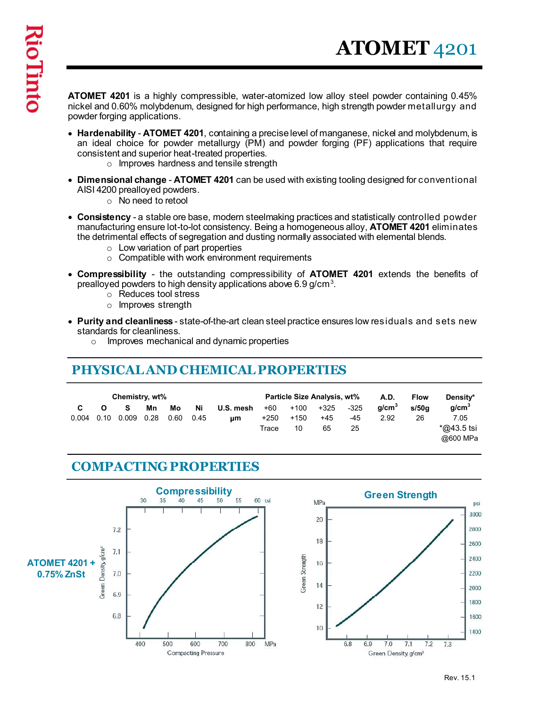ATOMET 4201 is a highly compressible, water-atomized low alloy steel powder containing 0.45% nickel and 0.60% molybdenum, designed for high performance, high strength powder metallurgy and powder forging applications.

- Hardenability ATOMET 4201, containing a precise level of manganese, nickel and molybdenum, is an ideal choice for powder metallurgy (PM) and powder forging (PF) applications that require consistent and superior heat-treated properties.
	- o Improves hardness and tensile strength
- Dimensional change ATOMET 4201 can be used with existing tooling designed for conventional AISI 4200 prealloyed powders.
	- o No need to retool
- Consistency a stable ore base, modern steelmaking practices and statistically controlled powder manufacturing ensure lot-to-lot consistency. Being a homogeneous alloy, **ATOMET 4201** eliminates the detrimental effects of segregation and dusting normally associated with elemental blends.
	- $\circ$  Low variation of part properties
	- o Compatible with work environment requirements
- Compressibility the outstanding compressibility of ATOMET 4201 extends the benefits of prealloyed powders to high density applications above 6.9 g/cm $^3\!$ .
	- o Reduces tool stress
	- o Improves strength
- Purity and cleanliness state-of-the-art clean steel practice ensures low residuals and sets new standards for cleanliness.
	- o Improves mechanical and dynamic properties

|                                       |                                                          |            |            |            | o improves naraness and tensile strength                                                                                                                                                                                                                                                                  |                        |                                                       |                     |                       |                                          |                            |                                                                                                       |  |
|---------------------------------------|----------------------------------------------------------|------------|------------|------------|-----------------------------------------------------------------------------------------------------------------------------------------------------------------------------------------------------------------------------------------------------------------------------------------------------------|------------------------|-------------------------------------------------------|---------------------|-----------------------|------------------------------------------|----------------------------|-------------------------------------------------------------------------------------------------------|--|
| AISI 4200 prealloyed powders.         | $\circ$ No need to retool                                |            |            |            | • Dimensional change - ATOMET 4201 can be used with existing tooling designed for conventional                                                                                                                                                                                                            |                        |                                                       |                     |                       |                                          |                            |                                                                                                       |  |
|                                       |                                                          |            |            |            | • Consistency - a stable ore base, modern steelmaking practices and statistically controlled powder<br>the detrimental effects of segregation and dusting normally associated with elemental blends.<br>$\circ$ Low variation of part properties<br>$\circ$ Compatible with work environment requirements |                        |                                                       |                     |                       |                                          |                            | manufacturing ensure lot-to-lot consistency. Being a homogeneous alloy, <b>ATOMET 4201</b> eliminates |  |
|                                       | $\circ$ Reduces tool stress<br>$\circ$ Improves strength |            |            |            | prealloyed powders to high density applications above 6.9 g/cm <sup>3</sup> .                                                                                                                                                                                                                             |                        |                                                       |                     |                       |                                          |                            | • Compressibility - the outstanding compressibility of ATOMET 4201 extends the benefits of            |  |
| standards for cleanliness.<br>$\circ$ |                                                          |            |            |            | $\bullet$ Purity and cleanliness - state-of-the-art clean steel practice ensures low residuals and sets new<br>Improves mechanical and dynamic properties<br>PHYSICAL AND CHEMICAL PROPERTIES                                                                                                             |                        |                                                       |                     |                       |                                          |                            |                                                                                                       |  |
|                                       |                                                          |            |            |            |                                                                                                                                                                                                                                                                                                           |                        |                                                       |                     |                       |                                          |                            |                                                                                                       |  |
| C<br>0.004                            | Chemistry, wt%<br>S.<br>$0.10 \quad 0.009$               | Mn<br>0.28 | Mo<br>0.60 | Ni<br>0.45 | U.S. mesh<br>μm                                                                                                                                                                                                                                                                                           | +60<br>$+250$<br>Trace | Particle Size Analysis, wt%<br>$+100$<br>$+150$<br>10 | $+325$<br>+45<br>65 | $-325$<br>$-45$<br>25 | <b>A.D.</b><br>g/cm <sup>3</sup><br>2.92 | <b>Flow</b><br>s/50g<br>26 | Density*<br>g/cm <sup>3</sup><br>7.05<br>$*$ @43.5 tsi<br>@600 MPa                                    |  |
|                                       |                                                          |            |            |            | <b>COMPACTING PROPERTIES</b>                                                                                                                                                                                                                                                                              |                        |                                                       |                     |                       |                                          |                            |                                                                                                       |  |
|                                       |                                                          |            |            |            |                                                                                                                                                                                                                                                                                                           |                        |                                                       |                     |                       |                                          |                            |                                                                                                       |  |

#### COMPACTING PROPERTIES

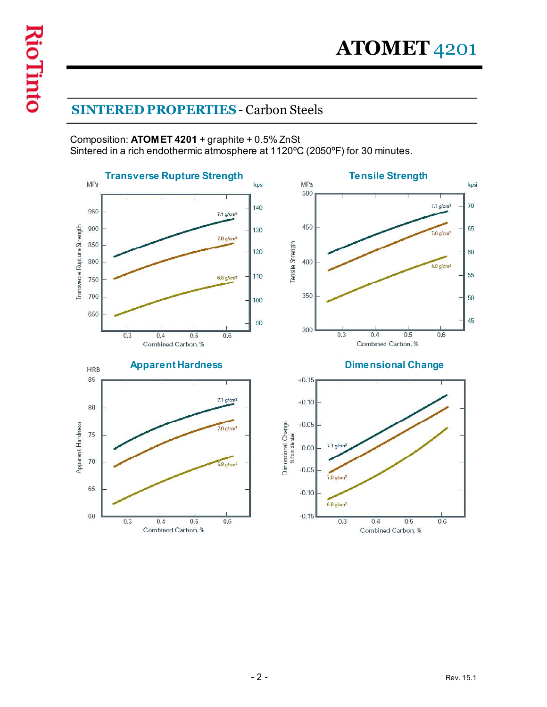### SINTERED PROPERTIES - Carbon Steels

Composition: ATOMET 4201 + graphite + 0.5% ZnSt Sintered in a rich endothermic atmosphere at 1120ºC (2050ºF) for 30 minutes.

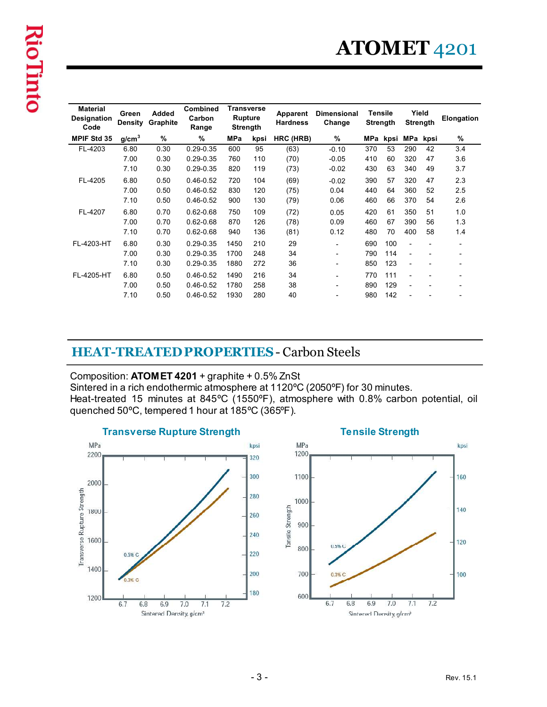# ATOMET 4201

| <b>Transverse</b><br><b>Material</b><br>Combined<br>Yield<br><b>Tensile</b><br>Added<br><b>Dimensional</b><br>Green<br>Apparent<br><b>Rupture</b><br>Carbon<br>Graphite<br><b>Strength</b><br><b>Strength</b><br><b>Density</b><br><b>Hardness</b><br>Change<br>Code<br><b>Strength</b><br>Range<br>$\%$<br>%<br>%<br>HRC (HRB)<br>%<br>MPa<br>MPa<br>MPa<br>kpsi<br>g/cm <sup>3</sup><br>kpsi<br>kpsi<br>$0.29 - 0.35$<br>FL-4203<br>6.80<br>0.30<br>600<br>95<br>370<br>53<br>290<br>42<br>3.4<br>(63)<br>$-0.10$<br>$0.29 - 0.35$<br>7.00<br>0.30<br>760<br>110<br>(70)<br>$-0.05$<br>60<br>320<br>47<br>3.6<br>410<br>7.10<br>0.29-0.35<br>3.7<br>0.30<br>820<br>119<br>(73)<br>$-0.02$<br>63<br>340<br>49<br>430<br>FL-4205<br>6.80<br>0.50<br>$0.46 - 0.52$<br>104<br>720<br>(69)<br>$-0.02$<br>390<br>57<br>320<br>47<br>2.3<br>7.00<br>0.50<br>$0.46 - 0.52$<br>830<br>120<br>360<br>2.5<br>(75)<br>0.04<br>64<br>52<br>440<br>$0.46 - 0.52$<br>370<br>2.6<br>7.10<br>0.50<br>900<br>130<br>66<br>54<br>(79)<br>0.06<br>460<br>6.80<br>$0.62 - 0.68$<br>FL-4207<br>0.70<br>109<br>(72)<br>350<br>750<br>0.05<br>420<br>61<br>51<br>1.0<br>7.00<br>0.70<br>$0.62 - 0.68$<br>870<br>126<br>(78)<br>0.09<br>67<br>390<br>56<br>1.3<br>460<br>7.10<br>$0.62 - 0.68$<br>0.70<br>940<br>136<br>(81)<br>0.12<br>70<br>400<br>58<br>480<br>1.4<br>6.80<br>0.30<br>$0.29 - 0.35$<br>1450<br>210<br>29<br>690<br>100<br>$\overline{\phantom{a}}$<br>7.00<br>0.30<br>$0.29 - 0.35$<br>1700<br>248<br>34<br>790<br>114<br>$\overline{\phantom{a}}$<br>$0.29 - 0.35$<br>7.10<br>0.30<br>1880<br>272<br>36<br>123<br>850<br>$\overline{\phantom{a}}$<br>6.80<br>$0.46 - 0.52$<br>0.50<br>1490<br>216<br>34<br>770<br>111<br>$\overline{\phantom{a}}$<br>7.00<br>0.46-0.52<br>38<br>0.50<br>1780<br>258<br>890<br>129<br>$\overline{\phantom{a}}$<br>0.50<br>280<br>40<br>7.10<br>$0.46 - 0.52$<br>1930<br>142<br>980<br>$\overline{\phantom{0}}$<br><b>HEAT-TREATED PROPERTIES - Carbon Steels</b><br>Composition: ATOMET 4201 + graphite + 0.5% ZnSt<br>Sintered in a rich endothermic atmosphere at 1120°C (2050°F) for 30 minutes.<br>quenched 50°C, tempered 1 hour at 185°C (365°F). |                    |  |  |  |  |  |  |
|-------------------------------------------------------------------------------------------------------------------------------------------------------------------------------------------------------------------------------------------------------------------------------------------------------------------------------------------------------------------------------------------------------------------------------------------------------------------------------------------------------------------------------------------------------------------------------------------------------------------------------------------------------------------------------------------------------------------------------------------------------------------------------------------------------------------------------------------------------------------------------------------------------------------------------------------------------------------------------------------------------------------------------------------------------------------------------------------------------------------------------------------------------------------------------------------------------------------------------------------------------------------------------------------------------------------------------------------------------------------------------------------------------------------------------------------------------------------------------------------------------------------------------------------------------------------------------------------------------------------------------------------------------------------------------------------------------------------------------------------------------------------------------------------------------------------------------------------------------------------------------------------------------------------------------------------------------------------------------------------------------------------------------------------------------------------------------------------------------------------------------------------------------------------------------------|--------------------|--|--|--|--|--|--|
| ATOMET <sub>4201</sub>                                                                                                                                                                                                                                                                                                                                                                                                                                                                                                                                                                                                                                                                                                                                                                                                                                                                                                                                                                                                                                                                                                                                                                                                                                                                                                                                                                                                                                                                                                                                                                                                                                                                                                                                                                                                                                                                                                                                                                                                                                                                                                                                                              |                    |  |  |  |  |  |  |
| Elongation<br>Heat-treated 15 minutes at 845°C (1550°F), atmosphere with 0.8% carbon potential, oil                                                                                                                                                                                                                                                                                                                                                                                                                                                                                                                                                                                                                                                                                                                                                                                                                                                                                                                                                                                                                                                                                                                                                                                                                                                                                                                                                                                                                                                                                                                                                                                                                                                                                                                                                                                                                                                                                                                                                                                                                                                                                 |                    |  |  |  |  |  |  |
|                                                                                                                                                                                                                                                                                                                                                                                                                                                                                                                                                                                                                                                                                                                                                                                                                                                                                                                                                                                                                                                                                                                                                                                                                                                                                                                                                                                                                                                                                                                                                                                                                                                                                                                                                                                                                                                                                                                                                                                                                                                                                                                                                                                     | Designation        |  |  |  |  |  |  |
|                                                                                                                                                                                                                                                                                                                                                                                                                                                                                                                                                                                                                                                                                                                                                                                                                                                                                                                                                                                                                                                                                                                                                                                                                                                                                                                                                                                                                                                                                                                                                                                                                                                                                                                                                                                                                                                                                                                                                                                                                                                                                                                                                                                     | <b>MPIF Std 35</b> |  |  |  |  |  |  |
|                                                                                                                                                                                                                                                                                                                                                                                                                                                                                                                                                                                                                                                                                                                                                                                                                                                                                                                                                                                                                                                                                                                                                                                                                                                                                                                                                                                                                                                                                                                                                                                                                                                                                                                                                                                                                                                                                                                                                                                                                                                                                                                                                                                     |                    |  |  |  |  |  |  |
|                                                                                                                                                                                                                                                                                                                                                                                                                                                                                                                                                                                                                                                                                                                                                                                                                                                                                                                                                                                                                                                                                                                                                                                                                                                                                                                                                                                                                                                                                                                                                                                                                                                                                                                                                                                                                                                                                                                                                                                                                                                                                                                                                                                     |                    |  |  |  |  |  |  |
|                                                                                                                                                                                                                                                                                                                                                                                                                                                                                                                                                                                                                                                                                                                                                                                                                                                                                                                                                                                                                                                                                                                                                                                                                                                                                                                                                                                                                                                                                                                                                                                                                                                                                                                                                                                                                                                                                                                                                                                                                                                                                                                                                                                     |                    |  |  |  |  |  |  |
|                                                                                                                                                                                                                                                                                                                                                                                                                                                                                                                                                                                                                                                                                                                                                                                                                                                                                                                                                                                                                                                                                                                                                                                                                                                                                                                                                                                                                                                                                                                                                                                                                                                                                                                                                                                                                                                                                                                                                                                                                                                                                                                                                                                     |                    |  |  |  |  |  |  |
|                                                                                                                                                                                                                                                                                                                                                                                                                                                                                                                                                                                                                                                                                                                                                                                                                                                                                                                                                                                                                                                                                                                                                                                                                                                                                                                                                                                                                                                                                                                                                                                                                                                                                                                                                                                                                                                                                                                                                                                                                                                                                                                                                                                     |                    |  |  |  |  |  |  |
|                                                                                                                                                                                                                                                                                                                                                                                                                                                                                                                                                                                                                                                                                                                                                                                                                                                                                                                                                                                                                                                                                                                                                                                                                                                                                                                                                                                                                                                                                                                                                                                                                                                                                                                                                                                                                                                                                                                                                                                                                                                                                                                                                                                     |                    |  |  |  |  |  |  |
|                                                                                                                                                                                                                                                                                                                                                                                                                                                                                                                                                                                                                                                                                                                                                                                                                                                                                                                                                                                                                                                                                                                                                                                                                                                                                                                                                                                                                                                                                                                                                                                                                                                                                                                                                                                                                                                                                                                                                                                                                                                                                                                                                                                     |                    |  |  |  |  |  |  |
|                                                                                                                                                                                                                                                                                                                                                                                                                                                                                                                                                                                                                                                                                                                                                                                                                                                                                                                                                                                                                                                                                                                                                                                                                                                                                                                                                                                                                                                                                                                                                                                                                                                                                                                                                                                                                                                                                                                                                                                                                                                                                                                                                                                     |                    |  |  |  |  |  |  |
|                                                                                                                                                                                                                                                                                                                                                                                                                                                                                                                                                                                                                                                                                                                                                                                                                                                                                                                                                                                                                                                                                                                                                                                                                                                                                                                                                                                                                                                                                                                                                                                                                                                                                                                                                                                                                                                                                                                                                                                                                                                                                                                                                                                     |                    |  |  |  |  |  |  |
|                                                                                                                                                                                                                                                                                                                                                                                                                                                                                                                                                                                                                                                                                                                                                                                                                                                                                                                                                                                                                                                                                                                                                                                                                                                                                                                                                                                                                                                                                                                                                                                                                                                                                                                                                                                                                                                                                                                                                                                                                                                                                                                                                                                     | FL-4203-HT         |  |  |  |  |  |  |
|                                                                                                                                                                                                                                                                                                                                                                                                                                                                                                                                                                                                                                                                                                                                                                                                                                                                                                                                                                                                                                                                                                                                                                                                                                                                                                                                                                                                                                                                                                                                                                                                                                                                                                                                                                                                                                                                                                                                                                                                                                                                                                                                                                                     |                    |  |  |  |  |  |  |
|                                                                                                                                                                                                                                                                                                                                                                                                                                                                                                                                                                                                                                                                                                                                                                                                                                                                                                                                                                                                                                                                                                                                                                                                                                                                                                                                                                                                                                                                                                                                                                                                                                                                                                                                                                                                                                                                                                                                                                                                                                                                                                                                                                                     |                    |  |  |  |  |  |  |
|                                                                                                                                                                                                                                                                                                                                                                                                                                                                                                                                                                                                                                                                                                                                                                                                                                                                                                                                                                                                                                                                                                                                                                                                                                                                                                                                                                                                                                                                                                                                                                                                                                                                                                                                                                                                                                                                                                                                                                                                                                                                                                                                                                                     | FL-4205-HT         |  |  |  |  |  |  |
|                                                                                                                                                                                                                                                                                                                                                                                                                                                                                                                                                                                                                                                                                                                                                                                                                                                                                                                                                                                                                                                                                                                                                                                                                                                                                                                                                                                                                                                                                                                                                                                                                                                                                                                                                                                                                                                                                                                                                                                                                                                                                                                                                                                     |                    |  |  |  |  |  |  |
|                                                                                                                                                                                                                                                                                                                                                                                                                                                                                                                                                                                                                                                                                                                                                                                                                                                                                                                                                                                                                                                                                                                                                                                                                                                                                                                                                                                                                                                                                                                                                                                                                                                                                                                                                                                                                                                                                                                                                                                                                                                                                                                                                                                     |                    |  |  |  |  |  |  |
| <b>Transverse Rupture Strength</b><br><b>Tensile Strength</b><br>MPa<br>MPa<br>kpsi<br>kpsi                                                                                                                                                                                                                                                                                                                                                                                                                                                                                                                                                                                                                                                                                                                                                                                                                                                                                                                                                                                                                                                                                                                                                                                                                                                                                                                                                                                                                                                                                                                                                                                                                                                                                                                                                                                                                                                                                                                                                                                                                                                                                         |                    |  |  |  |  |  |  |

#### HEAT-TREATED PROPERTIES- Carbon Steels

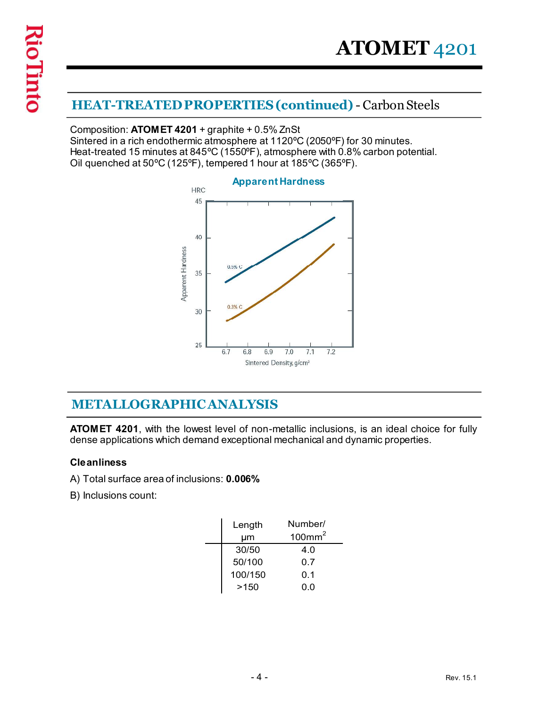## HEAT-TREATED PROPERTIES (continued) - Carbon Steels

Composition: ATOMET 4201 + graphite + 0.5% ZnSt Sintered in a rich endothermic atmosphere at 1120ºC (2050ºF) for 30 minutes. Heat-treated 15 minutes at 845ºC (1550ºF), atmosphere with 0.8% carbon potential. Oil quenched at 50ºC (125ºF), tempered 1 hour at 185ºC (365ºF).



### METALLOGRAPHIC ANALYSIS

ATOMET 4201, with the lowest level of non-metallic inclusions, is an ideal choice for fully dense applications which demand exceptional mechanical and dynamic properties.

#### **Cleanliness**

- A) Total surface area of inclusions: 0.006%
- B) Inclusions count:

| 6.7<br>6.8<br>6.9             | 7.1<br>7.2<br>7.0<br>Sintered Density, g/cm <sup>3</sup> |                                                                                                                          |  |
|-------------------------------|----------------------------------------------------------|--------------------------------------------------------------------------------------------------------------------------|--|
| <b>CANALYSIS</b>              |                                                          |                                                                                                                          |  |
|                               |                                                          | est level of non-metallic inclusions, is an ideal choice for fully<br>and exceptional mechanical and dynamic properties. |  |
| ions: <b>0.006%</b><br>Length | Number/                                                  |                                                                                                                          |  |
| μm                            | 100mm <sup>2</sup>                                       |                                                                                                                          |  |
| 30/50                         | 4.0                                                      |                                                                                                                          |  |
| 50/100<br>100/150             | 0.7<br>0.1                                               |                                                                                                                          |  |
| >150                          | 0.0                                                      |                                                                                                                          |  |
|                               |                                                          |                                                                                                                          |  |